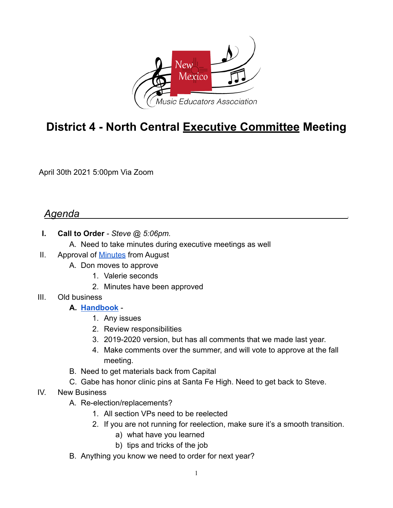

# **District 4 - North Central Executive Committee Meeting**

April 30th 2021 5:00pm Via Zoom

## *Agenda* .

- **I. Call to Order**  *Steve @ 5:06pm.*
	- A. Need to take minutes during executive meetings as well
- II. Approval of Minutes from August
	- A. Don moves to approve
		- 1. Valerie seconds
		- 2. Minutes have been approved
- III. Old business

#### **A. Handbook** -

- 1. Any issues
- 2. Review responsibilities
- 3. 2019-2020 version, but has all comments that we made last year.
- 4. Make comments over the summer, and will vote to approve at the fall meeting.
- B. Need to get materials back from Capital
- C. Gabe has honor clinic pins at Santa Fe High. Need to get back to Steve.
- IV. New Business
	- A. Re-election/replacements?
		- 1. All section VPs need to be reelected
		- 2. If you are not running for reelection, make sure it's a smooth transition.
			- a) what have you learned
			- b) tips and tricks of the job
	- B. Anything you know we need to order for next year?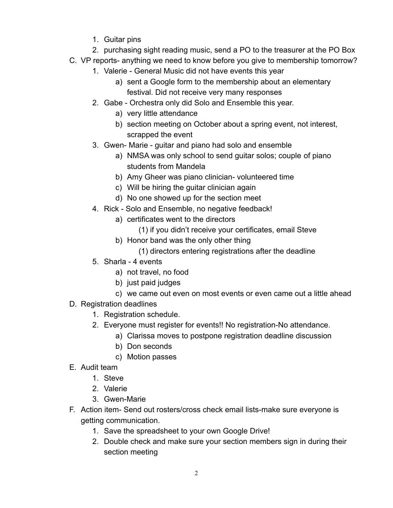- 1. Guitar pins
- 2. purchasing sight reading music, send a PO to the treasurer at the PO Box
- C. VP reports- anything we need to know before you give to membership tomorrow?
	- 1. Valerie General Music did not have events this year
		- a) sent a Google form to the membership about an elementary festival. Did not receive very many responses
	- 2. Gabe Orchestra only did Solo and Ensemble this year.
		- a) very little attendance
		- b) section meeting on October about a spring event, not interest, scrapped the event
	- 3. Gwen- Marie guitar and piano had solo and ensemble
		- a) NMSA was only school to send guitar solos; couple of piano students from Mandela
		- b) Amy Gheer was piano clinician- volunteered time
		- c) Will be hiring the guitar clinician again
		- d) No one showed up for the section meet
	- 4. Rick Solo and Ensemble, no negative feedback!
		- a) certificates went to the directors
			- (1) if you didn't receive your certificates, email Steve
		- b) Honor band was the only other thing
			- (1) directors entering registrations after the deadline
	- 5. Sharla 4 events
		- a) not travel, no food
		- b) just paid judges
		- c) we came out even on most events or even came out a little ahead
- D. Registration deadlines
	- 1. Registration schedule.
	- 2. Everyone must register for events!! No registration-No attendance.
		- a) Clarissa moves to postpone registration deadline discussion
			- b) Don seconds
			- c) Motion passes
- E. Audit team
	- 1. Steve
	- 2. Valerie
	- 3. Gwen-Marie
- F. Action item- Send out rosters/cross check email lists-make sure everyone is getting communication.
	- 1. Save the spreadsheet to your own Google Drive!
	- 2. Double check and make sure your section members sign in during their section meeting